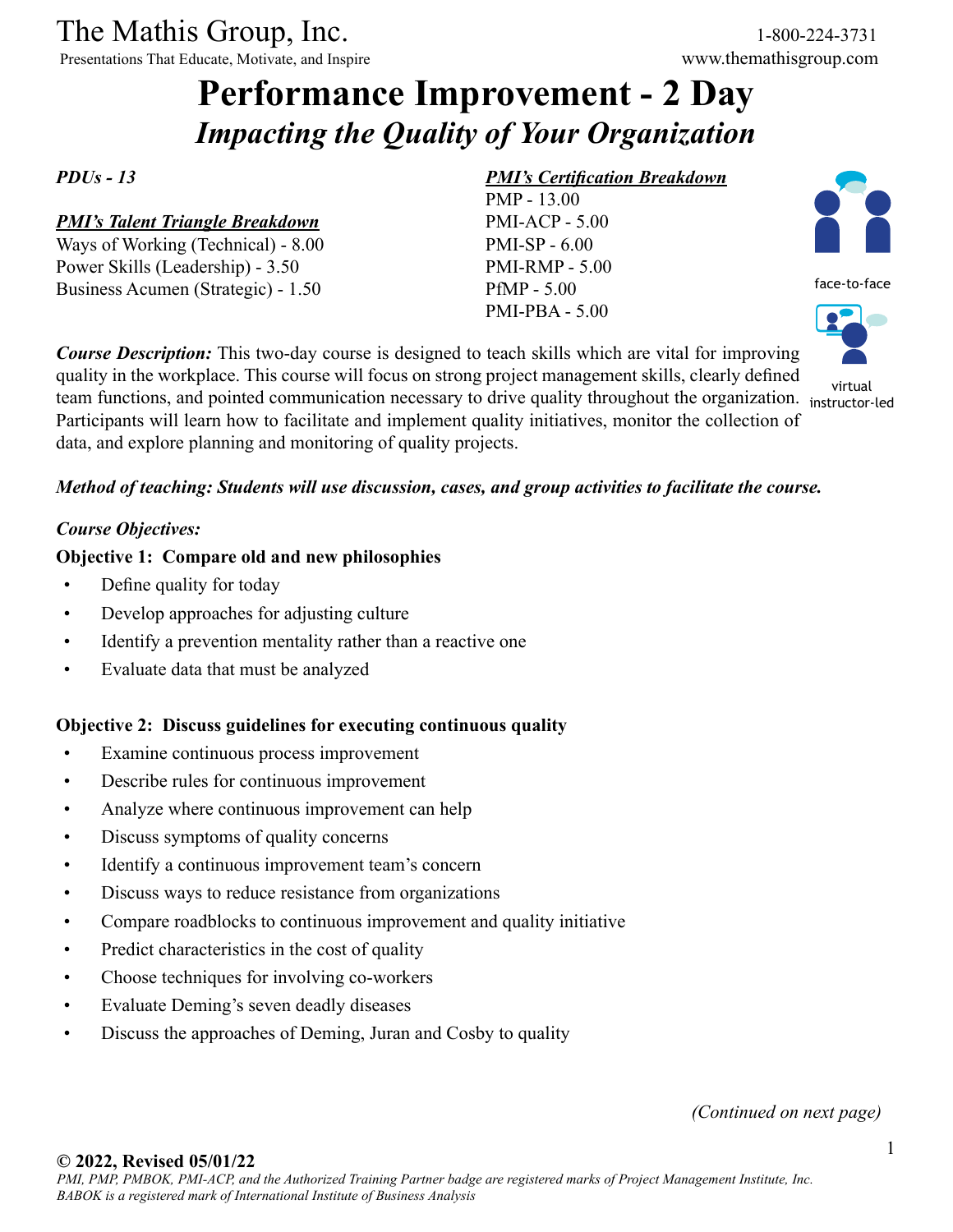The Mathis Group, Inc. 1-800-224-3731<br>
Presentations That Educate, Motivate, and Inspire www.themathisgroup.com

Presentations That Educate, Motivate, and Inspire

# **Performance Improvement - 2 Day** *Impacting the Quality of Your Organization*

*PDUs - 13*

#### *PMI's Talent Triangle Breakdown*

Ways of Working (Technical) - 8.00 Power Skills (Leadership) - 3.50 Business Acumen (Strategic) - 1.50

### *PMI's Certification Breakdown*

PMP - 13.00 PMI-ACP - 5.00 PMI-SP - 6.00 PMI-RMP - 5.00 PfMP - 5.00 PMI-PBA - 5.00



*Course Description:* This two-day course is designed to teach skills which are vital for improving quality in the workplace. This course will focus on strong project management skills, clearly defined team functions, and pointed communication necessary to drive quality throughout the organization. instructor-led Participants will learn how to facilitate and implement quality initiatives, monitor the collection of data, and explore planning and monitoring of quality projects. virtual

## *Method of teaching: Students will use discussion, cases, and group activities to facilitate the course.*

#### *Course Objectives:*

#### **Objective 1: Compare old and new philosophies**

- Define quality for today
- Develop approaches for adjusting culture
- Identify a prevention mentality rather than a reactive one
- Evaluate data that must be analyzed

#### **Objective 2: Discuss guidelines for executing continuous quality**

- Examine continuous process improvement
- Describe rules for continuous improvement
- Analyze where continuous improvement can help
- Discuss symptoms of quality concerns
- Identify a continuous improvement team's concern
- Discuss ways to reduce resistance from organizations
- Compare roadblocks to continuous improvement and quality initiative
- Predict characteristics in the cost of quality
- Choose techniques for involving co-workers
- Evaluate Deming's seven deadly diseases
- Discuss the approaches of Deming, Juran and Cosby to quality

*(Continued on next page)*

#### **© 2022, Revised 05/01/22**